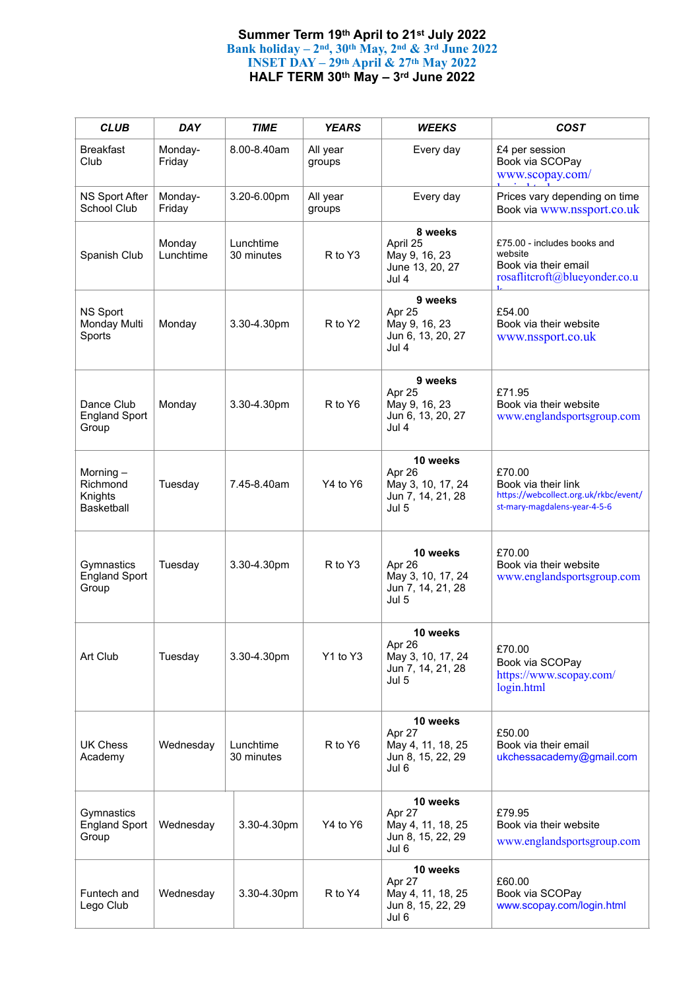## **Summer Term 19th April to 21st July 2022 Bank holiday – 2nd, 30th May, 2nd & 3rd June 2022 INSET DAY – 29th April & 27th May 2022 HALF TERM 30th May – 3rd June 2022**

| <b>CLUB</b>                                   | <b>DAY</b>          | <b>TIME</b>             | <b>YEARS</b>       | <b>WEEKS</b>                                                          | <b>COST</b>                                                                                            |
|-----------------------------------------------|---------------------|-------------------------|--------------------|-----------------------------------------------------------------------|--------------------------------------------------------------------------------------------------------|
| <b>Breakfast</b><br>Club                      | Monday-<br>Friday   | 8.00-8.40am             | All year<br>groups | Every day                                                             | £4 per session<br>Book via SCOPay<br>www.scopay.com/                                                   |
| NS Sport After<br>School Club                 | Monday-<br>Friday   | 3.20-6.00pm             | All year<br>groups | Every day                                                             | Prices vary depending on time<br>Book via www.nssport.co.uk                                            |
| Spanish Club                                  | Monday<br>Lunchtime | Lunchtime<br>30 minutes | R to Y3            | 8 weeks<br>April 25<br>May 9, 16, 23<br>June 13, 20, 27<br>Jul 4      | £75.00 - includes books and<br>website<br>Book via their email<br>rosaflitcroft@blueyonder.co.u<br>1.  |
| NS Sport<br>Monday Multi<br>Sports            | Monday              | 3.30-4.30pm             | R to Y2            | 9 weeks<br>Apr 25<br>May 9, 16, 23<br>Jun 6, 13, 20, 27<br>Jul 4      | £54.00<br>Book via their website<br>www.nssport.co.uk                                                  |
| Dance Club<br><b>England Sport</b><br>Group   | Monday              | 3.30-4.30pm             | R to Y6            | 9 weeks<br>Apr 25<br>May 9, 16, 23<br>Jun 6, 13, 20, 27<br>Jul 4      | £71.95<br>Book via their website<br>www.englandsportsgroup.com                                         |
| Morning-<br>Richmond<br>Knights<br>Basketball | Tuesday             | 7.45-8.40am             | Y4 to Y6           | 10 weeks<br>Apr 26<br>May 3, 10, 17, 24<br>Jun 7, 14, 21, 28<br>Jul 5 | £70.00<br>Book via their link<br>https://webcollect.org.uk/rkbc/event/<br>st-mary-magdalens-year-4-5-6 |
| Gymnastics<br><b>England Sport</b><br>Group   | Tuesday             | 3.30-4.30pm             | R to Y3            | 10 weeks<br>Apr 26<br>May 3, 10, 17, 24<br>Jun 7, 14, 21, 28<br>Jul 5 | £70.00<br>Book via their website<br>www.englandsportsgroup.com                                         |
| Art Club                                      | Tuesday             | 3.30-4.30pm             | Y1 to Y3           | 10 weeks<br>Apr 26<br>May 3, 10, 17, 24<br>Jun 7, 14, 21, 28<br>Jul 5 | £70.00<br>Book via SCOPay<br>https://www.scopay.com/<br>login.html                                     |
| <b>UK Chess</b><br>Academy                    | Wednesday           | Lunchtime<br>30 minutes | R to Y6            | 10 weeks<br>Apr 27<br>May 4, 11, 18, 25<br>Jun 8, 15, 22, 29<br>Jul 6 | £50.00<br>Book via their email<br>ukchessacademy@gmail.com                                             |
| Gymnastics<br><b>England Sport</b><br>Group   | Wednesday           | 3.30-4.30pm             | Y4 to Y6           | 10 weeks<br>Apr 27<br>May 4, 11, 18, 25<br>Jun 8, 15, 22, 29<br>Jul 6 | £79.95<br>Book via their website<br>www.englandsportsgroup.com                                         |
| Funtech and<br>Lego Club                      | Wednesday           | 3.30-4.30pm             | R to Y4            | 10 weeks<br>Apr 27<br>May 4, 11, 18, 25<br>Jun 8, 15, 22, 29<br>Jul 6 | £60.00<br>Book via SCOPay<br>www.scopay.com/login.html                                                 |